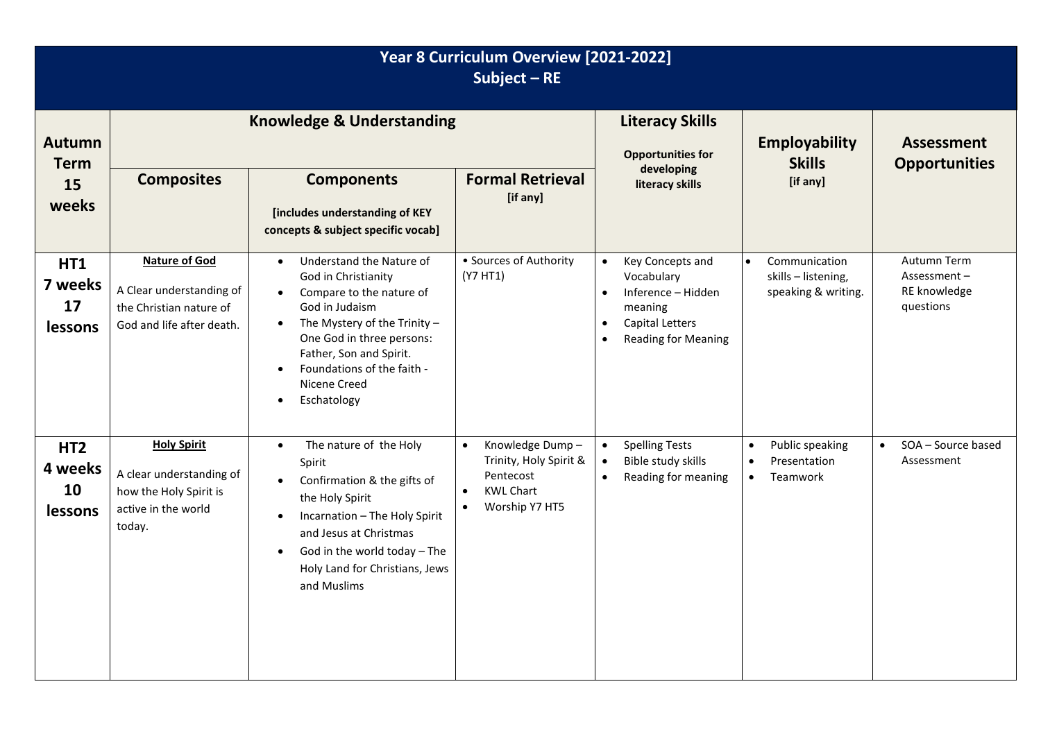| Year 8 Curriculum Overview [2021-2022]<br>Subject $-RE$ |                                                                                                           |                                                                                                                                                                                                                                                                                                                       |                                                                                                                                     |                                                                                                                                                                             |                                                                                    |                                                         |
|---------------------------------------------------------|-----------------------------------------------------------------------------------------------------------|-----------------------------------------------------------------------------------------------------------------------------------------------------------------------------------------------------------------------------------------------------------------------------------------------------------------------|-------------------------------------------------------------------------------------------------------------------------------------|-----------------------------------------------------------------------------------------------------------------------------------------------------------------------------|------------------------------------------------------------------------------------|---------------------------------------------------------|
| <b>Autumn</b><br><b>Term</b><br>15<br>weeks             | <b>Knowledge &amp; Understanding</b>                                                                      |                                                                                                                                                                                                                                                                                                                       |                                                                                                                                     | <b>Literacy Skills</b><br><b>Opportunities for</b>                                                                                                                          | <b>Employability</b><br><b>Skills</b>                                              | <b>Assessment</b><br><b>Opportunities</b>               |
|                                                         | <b>Composites</b>                                                                                         | <b>Components</b><br>[includes understanding of KEY<br>concepts & subject specific vocab]                                                                                                                                                                                                                             | <b>Formal Retrieval</b><br>[if any]                                                                                                 | developing<br>literacy skills                                                                                                                                               | [if any]                                                                           |                                                         |
| HT1<br>7 weeks<br>17<br><b>lessons</b>                  | <b>Nature of God</b><br>A Clear understanding of<br>the Christian nature of<br>God and life after death.  | Understand the Nature of<br>$\bullet$<br>God in Christianity<br>Compare to the nature of<br>$\bullet$<br>God in Judaism<br>The Mystery of the Trinity $-$<br>$\bullet$<br>One God in three persons:<br>Father, Son and Spirit.<br>Foundations of the faith -<br>$\bullet$<br>Nicene Creed<br>Eschatology<br>$\bullet$ | • Sources of Authority<br>(Y7 HT1)                                                                                                  | Key Concepts and<br>$\bullet$<br>Vocabulary<br>Inference - Hidden<br>$\bullet$<br>meaning<br><b>Capital Letters</b><br>$\bullet$<br><b>Reading for Meaning</b><br>$\bullet$ | Communication<br>$\bullet$<br>skills - listening,<br>speaking & writing.           | Autumn Term<br>Assessment-<br>RE knowledge<br>questions |
| HT <sub>2</sub><br>4 weeks<br>10<br>lessons             | <b>Holy Spirit</b><br>A clear understanding of<br>how the Holy Spirit is<br>active in the world<br>today. | The nature of the Holy<br>$\bullet$<br>Spirit<br>Confirmation & the gifts of<br>$\bullet$<br>the Holy Spirit<br>Incarnation - The Holy Spirit<br>$\bullet$<br>and Jesus at Christmas<br>God in the world today - The<br>$\bullet$<br>Holy Land for Christians, Jews<br>and Muslims                                    | Knowledge Dump-<br>$\bullet$<br>Trinity, Holy Spirit &<br>Pentecost<br><b>KWL Chart</b><br>$\bullet$<br>Worship Y7 HT5<br>$\bullet$ | <b>Spelling Tests</b><br>$\bullet$<br>Bible study skills<br>$\bullet$<br>Reading for meaning<br>$\bullet$                                                                   | Public speaking<br>$\bullet$<br>Presentation<br>$\bullet$<br>Teamwork<br>$\bullet$ | SOA - Source based<br>$\bullet$<br>Assessment           |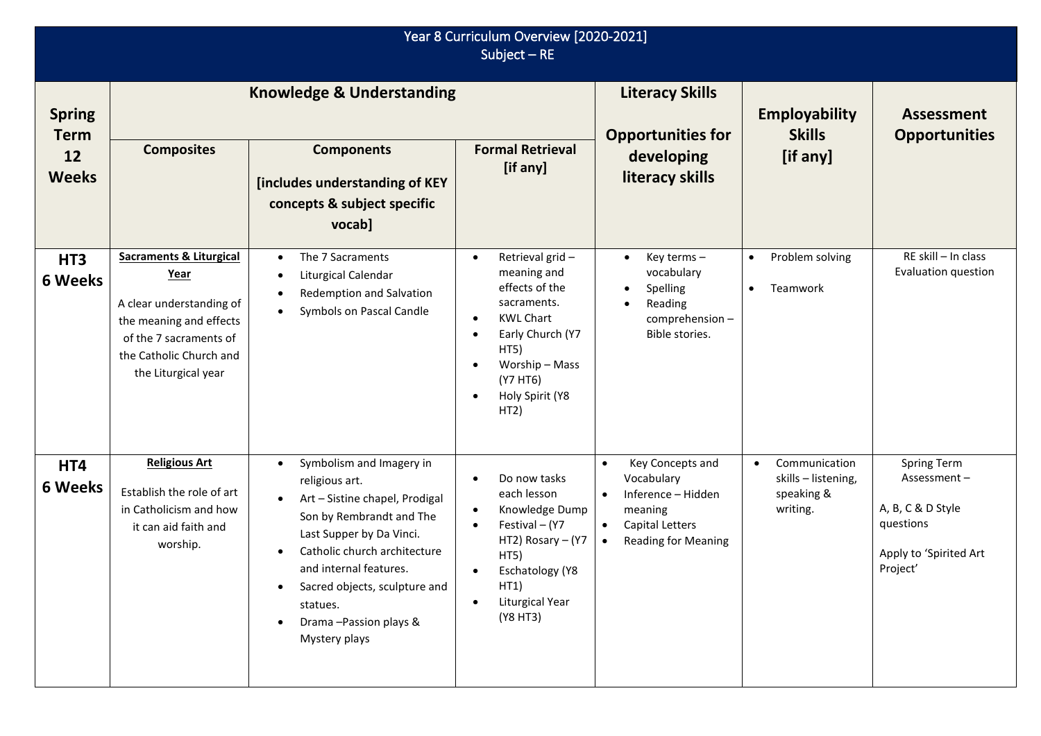| Year 8 Curriculum Overview [2020-2021]<br>Subject $-$ RE |                                                                                                                                                                                      |                                                                                                                                                                                                                                                                                                                 |                                                                                                                                                                                                                                           |                                                                                                                                                                      |                                                                             |                                                                                                    |
|----------------------------------------------------------|--------------------------------------------------------------------------------------------------------------------------------------------------------------------------------------|-----------------------------------------------------------------------------------------------------------------------------------------------------------------------------------------------------------------------------------------------------------------------------------------------------------------|-------------------------------------------------------------------------------------------------------------------------------------------------------------------------------------------------------------------------------------------|----------------------------------------------------------------------------------------------------------------------------------------------------------------------|-----------------------------------------------------------------------------|----------------------------------------------------------------------------------------------------|
| <b>Spring</b><br><b>Term</b><br>12<br><b>Weeks</b>       | <b>Composites</b>                                                                                                                                                                    | <b>Knowledge &amp; Understanding</b><br><b>Components</b><br>[includes understanding of KEY<br>concepts & subject specific<br>vocab]                                                                                                                                                                            | <b>Formal Retrieval</b><br>[if any]                                                                                                                                                                                                       | <b>Literacy Skills</b><br><b>Opportunities for</b><br>developing<br>literacy skills                                                                                  | <b>Employability</b><br><b>Skills</b><br>[if any]                           | <b>Assessment</b><br><b>Opportunities</b>                                                          |
| HT <sub>3</sub><br><b>6 Weeks</b>                        | <b>Sacraments &amp; Liturgical</b><br><u>Year</u><br>A clear understanding of<br>the meaning and effects<br>of the 7 sacraments of<br>the Catholic Church and<br>the Liturgical year | The 7 Sacraments<br>$\bullet$<br>Liturgical Calendar<br>$\bullet$<br>Redemption and Salvation<br>$\bullet$<br>Symbols on Pascal Candle<br>$\bullet$                                                                                                                                                             | Retrieval grid-<br>$\bullet$<br>meaning and<br>effects of the<br>sacraments.<br><b>KWL Chart</b><br>$\bullet$<br>Early Church (Y7<br>$\bullet$<br>HT5)<br>Worship - Mass<br>$\bullet$<br>(Y7 HT6)<br>Holy Spirit (Y8<br>$\bullet$<br>HT2) | Key terms-<br>$\bullet$<br>vocabulary<br>Spelling<br>$\bullet$<br>Reading<br>comprehension-<br>Bible stories.                                                        | Problem solving<br>$\bullet$<br>Teamwork<br>$\bullet$                       | RE skill - In class<br>Evaluation question                                                         |
| HT4<br><b>6 Weeks</b>                                    | <b>Religious Art</b><br>Establish the role of art<br>in Catholicism and how<br>it can aid faith and<br>worship.                                                                      | Symbolism and Imagery in<br>$\bullet$<br>religious art.<br>Art - Sistine chapel, Prodigal<br>Son by Rembrandt and The<br>Last Supper by Da Vinci.<br>Catholic church architecture<br>$\bullet$<br>and internal features.<br>Sacred objects, sculpture and<br>statues.<br>Drama-Passion plays &<br>Mystery plays | Do now tasks<br>$\bullet$<br>each lesson<br>Knowledge Dump<br>$\bullet$<br>Festival - (Y7<br>$\bullet$<br>HT2) Rosary - (Y7<br>HT5)<br>Eschatology (Y8<br>$\bullet$<br>HT1)<br>Liturgical Year<br>(Y8 HT3)                                | Key Concepts and<br>$\bullet$<br>Vocabulary<br>Inference - Hidden<br>$\bullet$<br>meaning<br>Capital Letters<br>$\bullet$<br><b>Reading for Meaning</b><br>$\bullet$ | Communication<br>$\bullet$<br>skills - listening,<br>speaking &<br>writing. | Spring Term<br>Assessment-<br>A, B, C & D Style<br>questions<br>Apply to 'Spirited Art<br>Project' |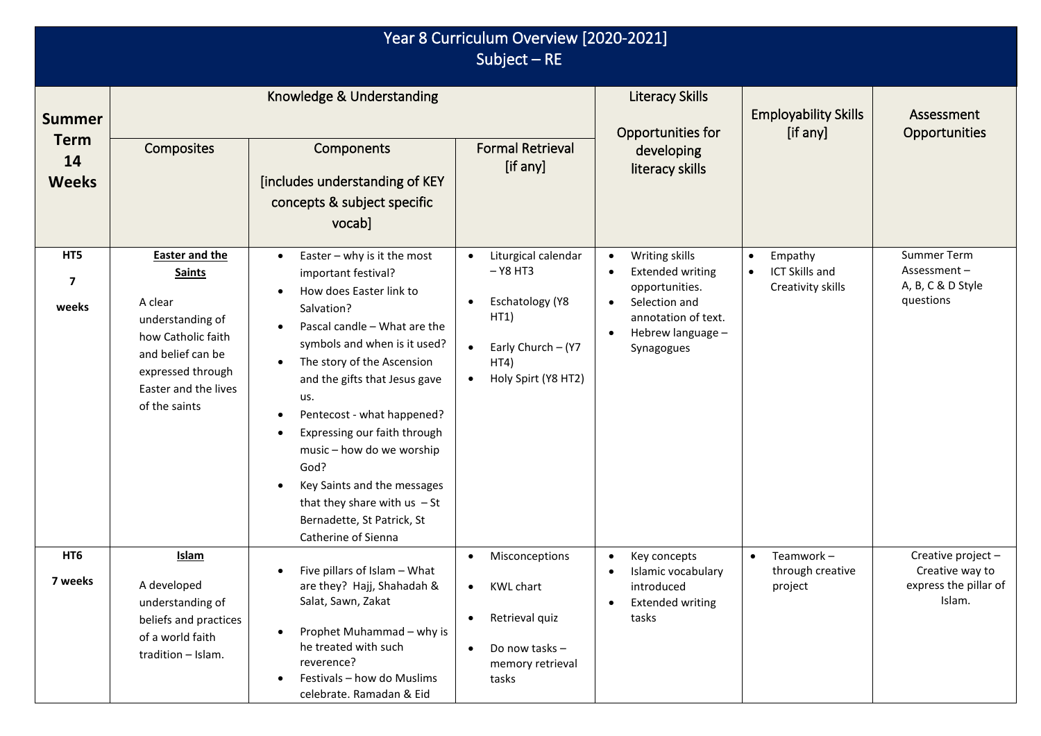| Year 8 Curriculum Overview [2020-2021]<br>Subject $-RE$ |                                                                                                                                                                                |                                                                                                                                                                                                                                                                                                                                                                                                                                                                                        |                                                                                                                                             |                                                                                                                                        |                                                                          |                                                                          |
|---------------------------------------------------------|--------------------------------------------------------------------------------------------------------------------------------------------------------------------------------|----------------------------------------------------------------------------------------------------------------------------------------------------------------------------------------------------------------------------------------------------------------------------------------------------------------------------------------------------------------------------------------------------------------------------------------------------------------------------------------|---------------------------------------------------------------------------------------------------------------------------------------------|----------------------------------------------------------------------------------------------------------------------------------------|--------------------------------------------------------------------------|--------------------------------------------------------------------------|
| <b>Summer</b><br><b>Term</b><br>14<br><b>Weeks</b>      | Composites                                                                                                                                                                     | Knowledge & Understanding<br>Components<br>[includes understanding of KEY<br>concepts & subject specific<br>vocab]                                                                                                                                                                                                                                                                                                                                                                     | <b>Formal Retrieval</b><br>[if any]                                                                                                         | <b>Literacy Skills</b><br>Opportunities for<br>developing<br>literacy skills                                                           | <b>Employability Skills</b><br>[if any]                                  | Assessment<br><b>Opportunities</b>                                       |
| HT5<br>$\overline{7}$<br>weeks                          | <b>Easter and the</b><br><b>Saints</b><br>A clear<br>understanding of<br>how Catholic faith<br>and belief can be<br>expressed through<br>Easter and the lives<br>of the saints | Easter $-$ why is it the most<br>$\bullet$<br>important festival?<br>How does Easter link to<br>Salvation?<br>Pascal candle - What are the<br>symbols and when is it used?<br>The story of the Ascension<br>$\bullet$<br>and the gifts that Jesus gave<br>us.<br>Pentecost - what happened?<br>Expressing our faith through<br>music - how do we worship<br>God?<br>Key Saints and the messages<br>that they share with $us - St$<br>Bernadette, St Patrick, St<br>Catherine of Sienna | Liturgical calendar<br>$-$ Y8 HT3<br>Eschatology (Y8<br>HT1)<br>Early Church - (Y7<br>$\bullet$<br>HT4)<br>Holy Spirt (Y8 HT2)<br>$\bullet$ | Writing skills<br><b>Extended writing</b><br>opportunities.<br>Selection and<br>annotation of text.<br>Hebrew language -<br>Synagogues | Empathy<br>$\bullet$<br>ICT Skills and<br>$\bullet$<br>Creativity skills | Summer Term<br>Assessment-<br>A, B, C & D Style<br>questions             |
| HT <sub>6</sub><br>7 weeks                              | <b>Islam</b><br>A developed<br>understanding of<br>beliefs and practices<br>of a world faith<br>tradition - Islam.                                                             | Five pillars of Islam - What<br>٠<br>are they? Hajj, Shahadah &<br>Salat, Sawn, Zakat<br>Prophet Muhammad - why is<br>he treated with such<br>reverence?<br>Festivals - how do Muslims<br>celebrate. Ramadan & Eid                                                                                                                                                                                                                                                                     | Misconceptions<br><b>KWL chart</b><br>$\bullet$<br>Retrieval quiz<br>$\bullet$<br>Do now tasks -<br>memory retrieval<br>tasks               | Key concepts<br>Islamic vocabulary<br>introduced<br><b>Extended writing</b><br>tasks                                                   | Teamwork-<br>$\bullet$<br>through creative<br>project                    | Creative project -<br>Creative way to<br>express the pillar of<br>Islam. |